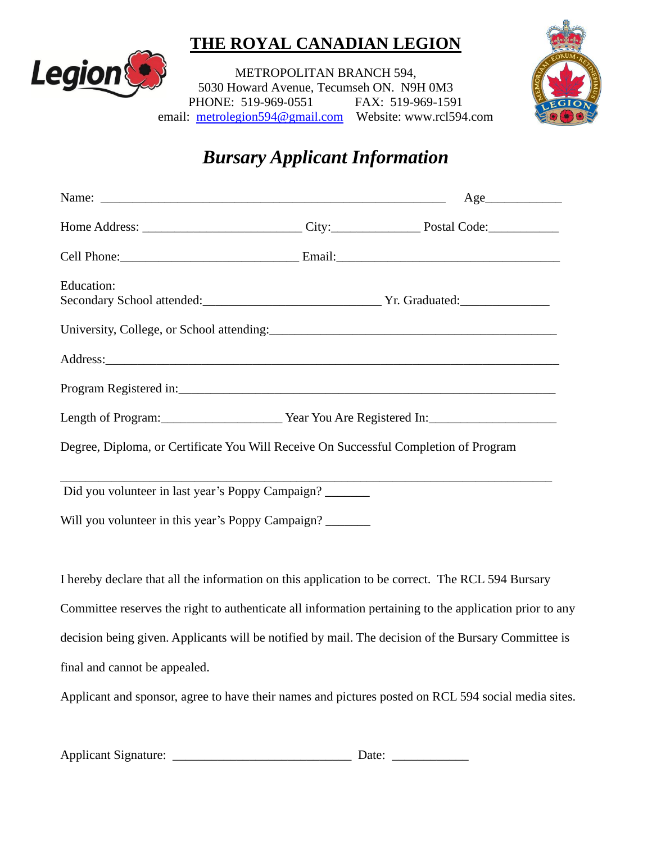## **THE ROYAL CANADIAN LEGION**



METROPOLITAN BRANCH 594, 5030 Howard Avenue, Tecumseh ON. N9H 0M3 PHONE: 519-969-0551 FAX: 519-969-1591 email: [metrolegion594@gmail.com](mailto:metrolegion594@gmail.com) Website: www.rcl594.com



## *Bursary Applicant Information*

|                                                                                                                                                                                                                                | Age |
|--------------------------------------------------------------------------------------------------------------------------------------------------------------------------------------------------------------------------------|-----|
|                                                                                                                                                                                                                                |     |
| Cell Phone: Commercial Commercial Commercial Commercial Commercial Commercial Commercial Commercial Commercial Commercial Commercial Commercial Commercial Commercial Commercial Commercial Commercial Commercial Commercial C |     |
| Education:                                                                                                                                                                                                                     |     |
| University, College, or School attending:                                                                                                                                                                                      |     |
|                                                                                                                                                                                                                                |     |
|                                                                                                                                                                                                                                |     |
| Length of Program: Vear You Are Registered In:                                                                                                                                                                                 |     |
| Degree, Diploma, or Certificate You Will Receive On Successful Completion of Program                                                                                                                                           |     |
| Did you volunteer in last year's Poppy Campaign?                                                                                                                                                                               |     |
| Will you volunteer in this year's Poppy Campaign?                                                                                                                                                                              |     |
|                                                                                                                                                                                                                                |     |
| I hereby declare that all the information on this application to be correct. The RCL 594 Bursary                                                                                                                               |     |
| Committee reserves the right to authenticate all information pertaining to the application prior to any                                                                                                                        |     |

decision being given. Applicants will be notified by mail. The decision of the Bursary Committee is

final and cannot be appealed.

Applicant and sponsor, agree to have their names and pictures posted on RCL 594 social media sites.

| <b>Applicant Signature:</b> | Date: |
|-----------------------------|-------|
|                             |       |